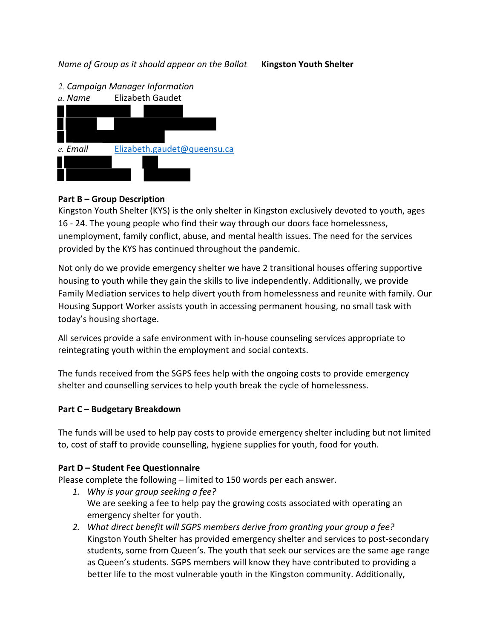*Name of Group as it should appear on the Ballot* **Kingston Youth Shelter**





### **Part B – Group Description**

Kingston Youth Shelter (KYS) is the only shelter in Kingston exclusively devoted to youth, ages 16 - 24. The young people who find their way through our doors face homelessness, unemployment, family conflict, abuse, and mental health issues. The need for the services provided by the KYS has continued throughout the pandemic.

Not only do we provide emergency shelter we have 2 transitional houses offering supportive housing to youth while they gain the skills to live independently. Additionally, we provide Family Mediation services to help divert youth from homelessness and reunite with family. Our Housing Support Worker assists youth in accessing permanent housing, no small task with today's housing shortage.

All services provide a safe environment with in-house counseling services appropriate to reintegrating youth within the employment and social contexts.

The funds received from the SGPS fees help with the ongoing costs to provide emergency shelter and counselling services to help youth break the cycle of homelessness.

#### **Part C – Budgetary Breakdown**

The funds will be used to help pay costs to provide emergency shelter including but not limited to, cost of staff to provide counselling, hygiene supplies for youth, food for youth.

#### **Part D – Student Fee Questionnaire**

Please complete the following – limited to 150 words per each answer.

- *1. Why is your group seeking a fee?* We are seeking a fee to help pay the growing costs associated with operating an emergency shelter for youth.
- *2. What direct benefit will SGPS members derive from granting your group a fee?*  Kingston Youth Shelter has provided emergency shelter and services to post-secondary students, some from Queen's. The youth that seek our services are the same age range as Queen's students. SGPS members will know they have contributed to providing a better life to the most vulnerable youth in the Kingston community. Additionally,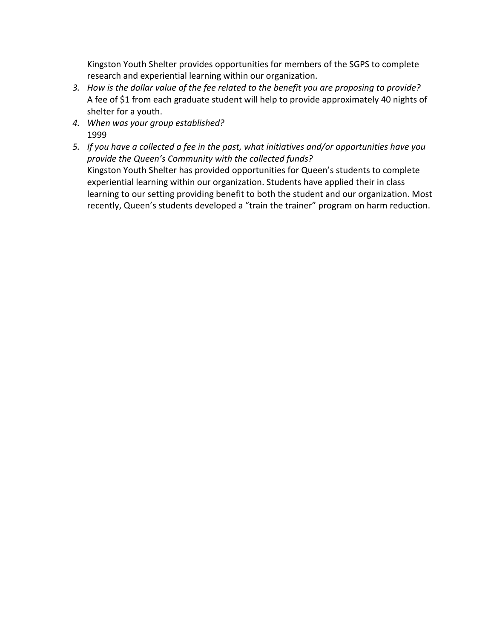Kingston Youth Shelter provides opportunities for members of the SGPS to complete research and experiential learning within our organization.

- *3. How is the dollar value of the fee related to the benefit you are proposing to provide?*  A fee of \$1 from each graduate student will help to provide approximately 40 nights of shelter for a youth.
- *4. When was your group established?*  1999
- *5. If you have a collected a fee in the past, what initiatives and/or opportunities have you provide the Queen's Community with the collected funds?*  Kingston Youth Shelter has provided opportunities for Queen's students to complete experiential learning within our organization. Students have applied their in class learning to our setting providing benefit to both the student and our organization. Most recently, Queen's students developed a "train the trainer" program on harm reduction.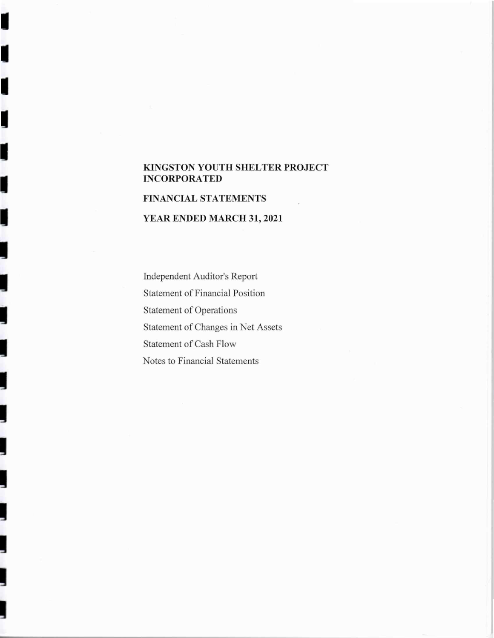#### KINGSTON YOUTH SHELTER PROJECT **INCORPORATED**

## **FINANCIAL STATEMENTS**

ľ

I

j

j

## YEAR ENDED MARCH 31, 2021

Independent Auditor's Report **Statement of Financial Position** Statement of Operations Statement of Changes in Net Assets Statement of Cash Flow Notes to Financial Statements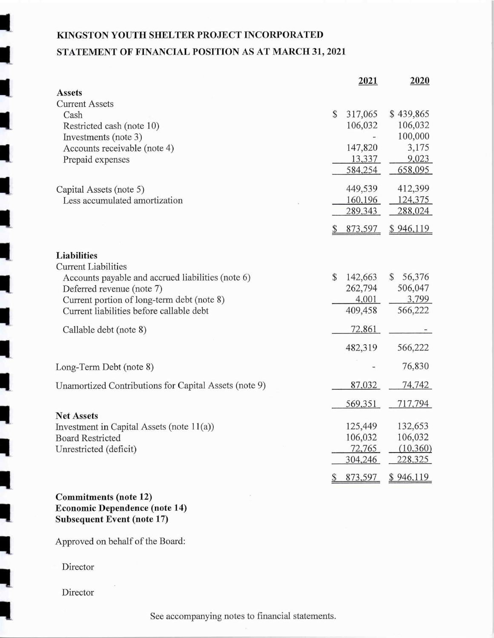# KINGSTON YOUTH SHELTER PROJECT INCORPORATED STATEMENT OF FINANCIAL POSITION AS AT MARCH 31, 2021

|                                                       | 2021          | 2020                    |
|-------------------------------------------------------|---------------|-------------------------|
| <b>Assets</b>                                         |               |                         |
| <b>Current Assets</b>                                 |               |                         |
| Cash                                                  | \$<br>317,065 | \$439,865               |
| Restricted cash (note 10)                             | 106,032       | 106,032                 |
| Investments (note 3)                                  |               | 100,000                 |
| Accounts receivable (note 4)                          | 147,820       | 3,175                   |
| Prepaid expenses                                      | 13,337        | 9,023                   |
|                                                       | 584,254       | 658,095                 |
| Capital Assets (note 5)                               | 449,539       | 412,399                 |
| Less accumulated amortization                         | 160,196       | 124,375                 |
|                                                       | 289,343       | 288,024                 |
|                                                       | 873,597       | <u>\$946,119</u>        |
|                                                       |               |                         |
| Liabilities                                           |               |                         |
| Current Liabilities                                   |               |                         |
| Accounts payable and accrued liabilities (note 6)     | \$<br>142,663 | 56,376<br>$\mathcal{S}$ |
| Deferred revenue (note 7)                             | 262,794       | 506,047                 |
| Current portion of long-term debt (note 8)            | 4,001         | 3,799                   |
| Current liabilities before callable debt              | 409,458       | 566,222                 |
| Callable debt (note 8)                                | 72,861        |                         |
|                                                       | 482,319       | 566,222                 |
| Long-Term Debt (note 8)                               |               | 76,830                  |
|                                                       |               |                         |
| Unamortized Contributions for Capital Assets (note 9) | 87,032        | 74,742                  |
|                                                       | 569,351       | 717,794                 |
| <b>Net Assets</b>                                     |               |                         |
| Investment in Capital Assets (note $11(a)$ )          | 125,449       | 132,653                 |
| <b>Board Restricted</b>                               | 106,032       | 106,032                 |
| Unrestricted (deficit)                                | 72,765        | (10, 360)               |
|                                                       | 304,246       | 228,325                 |
|                                                       | 873,597       | \$946,119               |
| $name$ $(math 12)$                                    |               |                         |

Commitments (note 12) **Economic Dependence (note 14) Subsequent Event (note 17)** 

Approved on behalf of the Board:

Director

Director

See accompanying notes to financial statements.